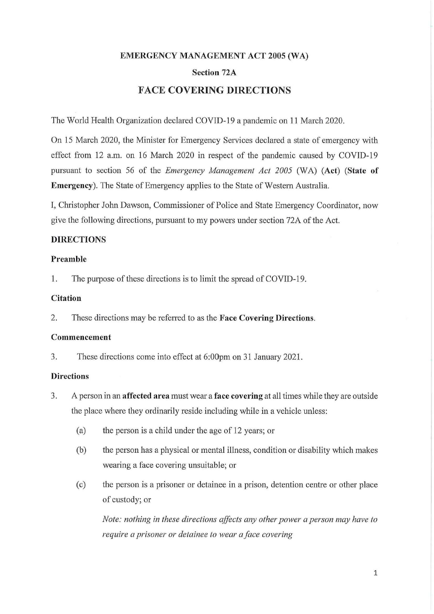# **EMERGENCY MANAGEMENT ACT 2005 (WA) Section 72A FACE COVERING DIRECTIONS**

The World Health Organization declared COVID-19 a pandemic on 11 March 2020.

On 15 March 2020, the Minister for Emergency Services declared a state of emergency with effect from 12 a.m. on 16 March 2020 in respect of the pandemic caused by COVID-19 pursuant to section 56 of the *Emergency Management Act 2005* (WA) **(Act) (State of Emergency).** The State of Emergency applies to the State of Western Australia.

I, Christopher John Dawson, Commissioner of Police and State Emergency Coordinator, now give the following directions, pursuant to my powers under section 72A of the Act.

## **DIRECTIONS**

#### **Preamble**

1. The purpose of these directions is to limit the spread of COVID-19.

### **Citation**

2. These directions may be referred to as the **Face Covering Directions.** 

#### **Commencement**

3. These directions come into effect at 6: 0Opm on 31 January 2021.

#### **Directions**

- 3. A person in an **affected area** must wear a **face covering** at all times while they are outside the place where they ordinarily reside including while in a vehicle unless:
	- (a) the person is a child under the age of 12 years; or
	- (b) the person has a physical or mental illness, condition or disability which makes wearing a face covering unsuitable; or
	- ( c) the person is a prisoner or detainee in a prison, detention centre or other place of custody; or

*Note: nothing in these directions affects any other power a person may have to require a prisoner or detainee to wear a face covering*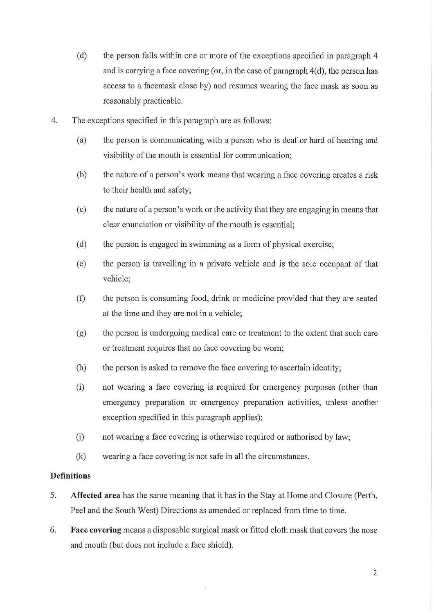- (d) the person falls within one or more of the exceptions specified in paragraph 4 and is carrying a face covering (or, in the case of paragraph  $4(d)$ , the person has access to a facemask close by) and resumes wearing the face mask as soon as reasonably practicable.
- 4. The exceptions specified in this paragraph are as follows:
	- (a) the person is communicating with a person who is deaf or hard of hearing and visibility of the mouth is essential for communication;
	- (b) the nature of a person's work means that wearing a face covering creates a risk to their health and safety;
	- ( c) the nature of a person's work or the activity that they are engaging in means that clear enunciation or visibility of the mouth is essential;
	- (d) the person is engaged in swimming as a form of physical exercise;
	- (e) the person is travelling in a private vehicle and is the sole occupant of that vehicle;
	- (f) the person is consuming food, drink or medicine provided that they are seated at the time and they are not in a vehicle;
	- (g) the person is undergoing medical care or treatment to the extent that such care or treatment requires that no face covering be worn;
	- (h) the person is asked to remove the face covering to ascertain identity;
	- (i) not wearing a face covering is required for emergency purposes ( other than emergency preparation or emergency preparation activities, unless another exception specified in this paragraph applies);
	- (i) not wearing a face covering is otherwise required or authorised by law;
	- (k) wearing a face covering is not safe in all the circumstances.

## **Definitions**

- 5. **Affected area** has the same meaning that it has in the Stay at Home and Closure (Perth, Peel and the South West) Directions as amended or replaced from time to time.
- 6. **Face covering** means a disposable surgical mask or fitted cloth mask that covers the nose and mouth (but does not include a face shield).